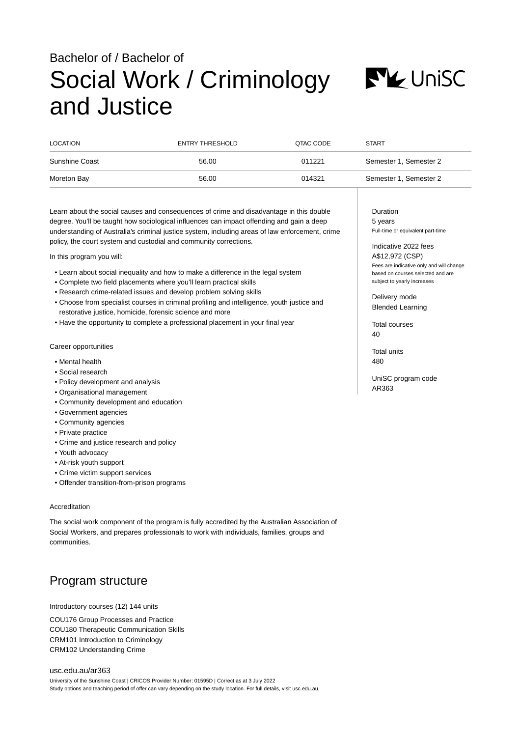# Bachelor of / Bachelor of Social Work / Criminology and Justice



| LOCATION              | ENTRY THRESHOLD | QTAC CODE | <b>START</b>           |
|-----------------------|-----------------|-----------|------------------------|
| <b>Sunshine Coast</b> | 56.00           | 011221    | Semester 1, Semester 2 |
| Moreton Bay           | 56.00           | 014321    | Semester 1, Semester 2 |

Learn about the social causes and consequences of crime and disadvantage in this double degree. You'll be taught how sociological influences can impact offending and gain a deep understanding of Australia's criminal justice system, including areas of law enforcement, crime policy, the court system and custodial and community corrections.

In this program you will:

- Learn about social inequality and how to make a difference in the legal system
- Complete two field placements where you'll learn practical skills
- Research crime-related issues and develop problem solving skills
- Choose from specialist courses in criminal profiling and intelligence, youth justice and restorative justice, homicide, forensic science and more
- Have the opportunity to complete a professional placement in your final year

Career opportunities

- Mental health
- Social research
- Policy development and analysis
- Organisational management
- Community development and education
- Government agencies
- Community agencies
- Private practice
- Crime and justice research and policy
- Youth advocacy
- At-risk youth support
- Crime victim support services
- Offender transition-from-prison programs

## Accreditation

The social work component of the program is fully accredited by the Australian Association of Social Workers, and prepares professionals to work with individuals, families, groups and communities.

# Program structure

Introductory courses (12) 144 units

COU176 Group Processes and Practice COU180 Therapeutic Communication Skills CRM101 Introduction to Criminology CRM102 Understanding Crime

[usc.edu.au/ar363](https://www.usc.edu.au/ar363) University of the Sunshine Coast | CRICOS Provider Number: 01595D | Correct as at 3 July 2022 Study options and teaching period of offer can vary depending on the study location. For full details, visit usc.edu.au. Duration 5 years Full-time or equivalent part-time

Indicative 2022 fees A\$12,972 (CSP) Fees are indicative only and will change based on courses selected and are subject to yearly increases

Delivery mode Blended Learning

Total courses 40

Total units 480

UniSC program code AR363